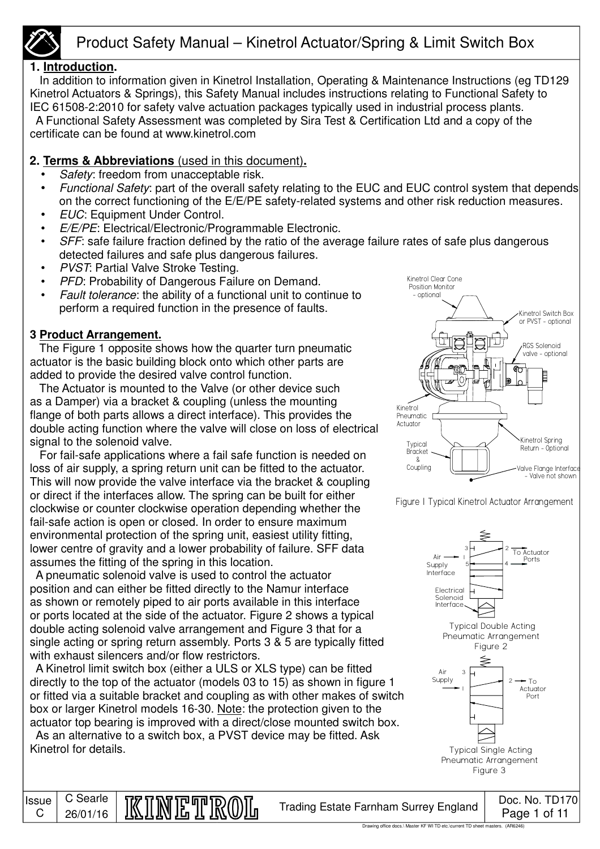

### **1. Introduction.**

 In addition to information given in Kinetrol Installation, Operating & Maintenance Instructions (eg TD129 Kinetrol Actuators & Springs), this Safety Manual includes instructions relating to Functional Safety to IEC 61508-2:2010 for safety valve actuation packages typically used in industrial process plants. A Functional Safety Assessment was completed by Sira Test & Certification Ltd and a copy of the certificate can be found at www.kinetrol.com

 **2. Terms & Abbreviations** (used in this document)**.**

- Safety: freedom from unacceptable risk.
- Functional Safety: part of the overall safety relating to the EUC and EUC control system that depends on the correct functioning of the E/E/PE safety-related systems and other risk reduction measures.
- EUC: Equipment Under Control.
- E/E/PE: Electrical/Electronic/Programmable Electronic.
- SFF: safe failure fraction defined by the ratio of the average failure rates of safe plus dangerous detected failures and safe plus dangerous failures.
- PVST: Partial Valve Stroke Testing.
- PFD: Probability of Dangerous Failure on Demand.
- Fault tolerance: the ability of a functional unit to continue to perform a required function in the presence of faults.

### **3 Product Arrangement.**

**Issue** C

C Searle

 The Figure 1 opposite shows how the quarter turn pneumatic actuator is the basic building block onto which other parts are added to provide the desired valve control function.

 The Actuator is mounted to the Valve (or other device such as a Damper) via a bracket & coupling (unless the mounting flange of both parts allows a direct interface). This provides the double acting function where the valve will close on loss of electrical signal to the solenoid valve.

 For fail-safe applications where a fail safe function is needed on loss of air supply, a spring return unit can be fitted to the actuator. This will now provide the valve interface via the bracket & coupling or direct if the interfaces allow. The spring can be built for either clockwise or counter clockwise operation depending whether the fail-safe action is open or closed. In order to ensure maximum environmental protection of the spring unit, easiest utility fitting, lower centre of gravity and a lower probability of failure. SFF data assumes the fitting of the spring in this location.

 A pneumatic solenoid valve is used to control the actuator position and can either be fitted directly to the Namur interface as shown or remotely piped to air ports available in this interface or ports located at the side of the actuator. Figure 2 shows a typical double acting solenoid valve arrangement and Figure 3 that for a single acting or spring return assembly. Ports 3 & 5 are typically fitted with exhaust silencers and/or flow restrictors.

 A Kinetrol limit switch box (either a ULS or XLS type) can be fitted directly to the top of the actuator (models 03 to 15) as shown in figure 1 or fitted via a suitable bracket and coupling as with other makes of switch box or larger Kinetrol models 16-30. Note: the protection given to the actuator top bearing is improved with a direct/close mounted switch box.

 As an alternative to a switch box, a PVST device may be fitted. Ask Kinetrol for details.



Figure 1 Typical Kinetrol Actuator Arrangement

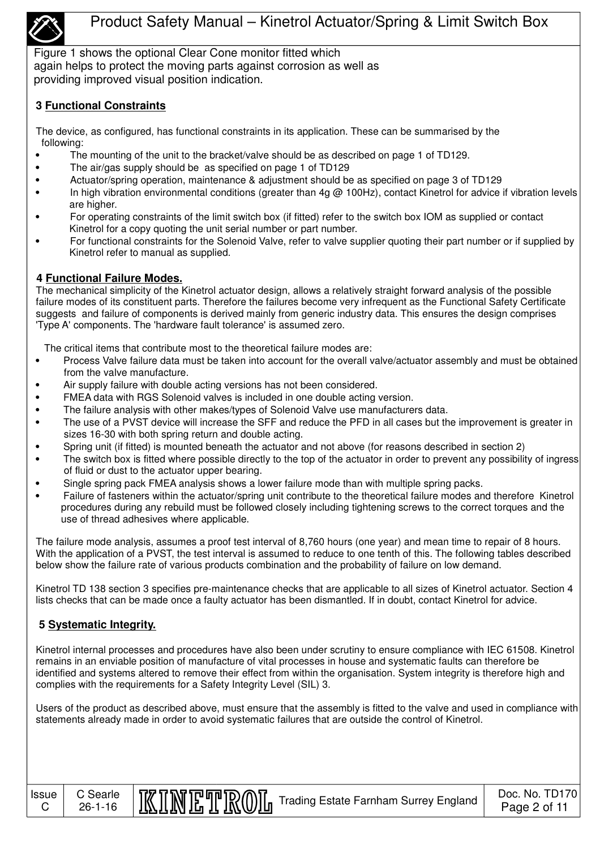

Figure 1 shows the optional Clear Cone monitor fitted which again helps to protect the moving parts against corrosion as well as providing improved visual position indication.

#### **3 Functional Constraints**

The device, as configured, has functional constraints in its application. These can be summarised by the following:

- The mounting of the unit to the bracket/valve should be as described on page 1 of TD129.
- The air/gas supply should be as specified on page 1 of TD129
- Actuator/spring operation, maintenance & adjustment should be as specified on page 3 of TD129
- In high vibration environmental conditions (greater than 4g @ 100Hz), contact Kinetrol for advice if vibration levels are higher.
- For operating constraints of the limit switch box (if fitted) refer to the switch box IOM as supplied or contact Kinetrol for a copy quoting the unit serial number or part number.
- For functional constraints for the Solenoid Valve, refer to valve supplier quoting their part number or if supplied by Kinetrol refer to manual as supplied.

#### **4 Functional Failure Modes.**

The mechanical simplicity of the Kinetrol actuator design, allows a relatively straight forward analysis of the possible failure modes of its constituent parts. Therefore the failures become very infrequent as the Functional Safety Certificate suggests and failure of components is derived mainly from generic industry data. This ensures the design comprises 'Type A' components. The 'hardware fault tolerance' is assumed zero.

The critical items that contribute most to the theoretical failure modes are:

- Process Valve failure data must be taken into account for the overall valve/actuator assembly and must be obtained from the valve manufacture.
- Air supply failure with double acting versions has not been considered.
- FMEA data with RGS Solenoid valves is included in one double acting version.
- The failure analysis with other makes/types of Solenoid Valve use manufacturers data.
- The use of a PVST device will increase the SFF and reduce the PFD in all cases but the improvement is greater in sizes 16-30 with both spring return and double acting.
- Spring unit (if fitted) is mounted beneath the actuator and not above (for reasons described in section 2)
- The switch box is fitted where possible directly to the top of the actuator in order to prevent any possibility of ingress of fluid or dust to the actuator upper bearing.
- Single spring pack FMEA analysis shows a lower failure mode than with multiple spring packs.
- Failure of fasteners within the actuator/spring unit contribute to the theoretical failure modes and therefore Kinetrol procedures during any rebuild must be followed closely including tightening screws to the correct torques and the use of thread adhesives where applicable.

The failure mode analysis, assumes a proof test interval of 8,760 hours (one year) and mean time to repair of 8 hours. With the application of a PVST, the test interval is assumed to reduce to one tenth of this. The following tables described below show the failure rate of various products combination and the probability of failure on low demand.

Kinetrol TD 138 section 3 specifies pre-maintenance checks that are applicable to all sizes of Kinetrol actuator. Section 4 lists checks that can be made once a faulty actuator has been dismantled. If in doubt, contact Kinetrol for advice.

### **5 Systematic Integrity.**

C Searle

Kinetrol internal processes and procedures have also been under scrutiny to ensure compliance with IEC 61508. Kinetrol remains in an enviable position of manufacture of vital processes in house and systematic faults can therefore be identified and systems altered to remove their effect from within the organisation. System integrity is therefore high and complies with the requirements for a Safety Integrity Level (SIL) 3.

Users of the product as described above, must ensure that the assembly is fitted to the valve and used in compliance with statements already made in order to avoid systematic failures that are outside the control of Kinetrol.

Issue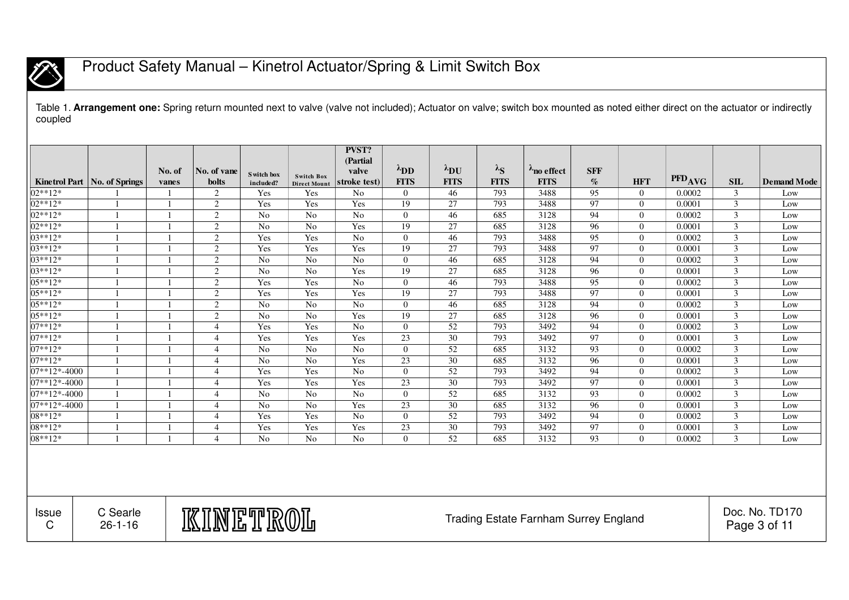

Table 1. **Arrangement one:** Spring return mounted next to valve (valve not included); Actuator on valve; switch box mounted as noted either direct on the actuator or indirectly coupled

|                   |                                |              |                |                |                                          | <b>PVST?</b><br>(Partial |                       |                       |               |                                       |            |              |                    |                |                                |
|-------------------|--------------------------------|--------------|----------------|----------------|------------------------------------------|--------------------------|-----------------------|-----------------------|---------------|---------------------------------------|------------|--------------|--------------------|----------------|--------------------------------|
|                   |                                | No. of       | No. of vane    | Switch box     |                                          | valve                    | $\lambda_{\text{DD}}$ | $\lambda_{\text{DU}}$ | $\lambda_{S}$ | Ano effect                            | <b>SFF</b> |              |                    |                |                                |
|                   | Kinetrol Part   No. of Springs | vanes        | bolts          | included?      | <b>Switch Box</b><br><b>Direct Mount</b> | stroke test              | <b>FITS</b>           | <b>FITS</b>           | <b>FITS</b>   | <b>FITS</b>                           | $\%$       | <b>HFT</b>   | PFD <sub>AVG</sub> | SIL            | <b>Demand Mode</b>             |
| $02**12*$         |                                | -1           | 2              | Yes            | Yes                                      | N <sub>0</sub>           | $\Omega$              | 46                    | 793           | 3488                                  | 95         | $\theta$     | 0.0002             | 3              | Low                            |
| $02**12*$         |                                | $\mathbf{1}$ | 2              | Yes            | Yes                                      | Yes                      | 19                    | 27                    | 793           | 3488                                  | 97         | $\Omega$     | 0.0001             | 3              | Low                            |
| $02**12*$         |                                | $\mathbf{1}$ | $\overline{c}$ | No             | No                                       | No                       | $\overline{0}$        | 46                    | 685           | 3128                                  | 94         | $\mathbf{0}$ | 0.0002             | 3              | Low                            |
| 02**12*           |                                | $\mathbf{1}$ | 2              | N <sub>o</sub> | No                                       | Yes                      | 19                    | 27                    | 685           | 3128                                  | 96         | $\Omega$     | 0.0001             | $\overline{3}$ | Low                            |
| $ 03**12**$       |                                | $\mathbf{1}$ | $\overline{2}$ | Yes            | Yes                                      | N <sub>o</sub>           | $\overline{0}$        | 46                    | 793           | 3488                                  | 95         | $\mathbf{0}$ | 0.0002             | 3              | Low                            |
| $03**12*$         |                                | $\mathbf{1}$ | 2              | Yes            | Yes                                      | Yes                      | 19                    | 27                    | 793           | 3488                                  | 97         | $\mathbf{0}$ | 0.0001             | 3              | Low                            |
| $ 03**12**$       |                                | $\mathbf{1}$ | $\overline{2}$ | N <sub>o</sub> | No                                       | N <sub>o</sub>           | $\theta$              | 46                    | 685           | 3128                                  | 94         | $\Omega$     | 0.0002             | 3              | Low                            |
| $ 03**12**$       |                                | $\mathbf{1}$ | 2              | N <sub>o</sub> | No                                       | Yes                      | 19                    | 27                    | 685           | 3128                                  | 96         | $\theta$     | 0.0001             | 3              | Low                            |
| $05***12*$        |                                | $\mathbf{1}$ | 2              | Yes            | Yes                                      | No                       | $\overline{0}$        | 46                    | 793           | 3488                                  | 95         | $\theta$     | 0.0002             | 3              | Low                            |
| $05***12*$        |                                | $\mathbf{1}$ | $\overline{c}$ | Yes            | Yes                                      | Yes                      | 19                    | 27                    | 793           | 3488                                  | 97         | $\theta$     | 0.0001             | $\mathfrak{Z}$ | Low                            |
| $05***12*$        |                                | $\mathbf{1}$ | 2              | N <sub>o</sub> | No                                       | No                       | $\theta$              | 46                    | 685           | 3128                                  | 94         | $\Omega$     | 0.0002             | 3              | Low                            |
| $05***12*$        |                                | $\mathbf{1}$ | 2              | No             | No                                       | Yes                      | 19                    | 27                    | 685           | 3128                                  | 96         | $\theta$     | 0.0001             | 3              | Low                            |
| $07**12*$         |                                | $\mathbf{1}$ | $\overline{4}$ | Yes            | Yes                                      | No                       | $\overline{0}$        | 52                    | 793           | 3492                                  | 94         | $\Omega$     | 0.0002             | $\mathfrak{Z}$ | Low                            |
| 07**12*           |                                | $\mathbf{1}$ | $\overline{4}$ | Yes            | Yes                                      | Yes                      | 23                    | 30                    | 793           | 3492                                  | 97         | $\Omega$     | 0.0001             | $\mathfrak{Z}$ | Low                            |
| $07**12*$         |                                |              | $\overline{4}$ | N <sub>o</sub> | No                                       | N <sub>o</sub>           | $\overline{0}$        | 52                    | 685           | 3132                                  | 93         | $\theta$     | 0.0002             | 3              | Low                            |
| $07**12*$         | $\overline{1}$                 | $\mathbf{1}$ | $\overline{4}$ | N <sub>o</sub> | N <sub>o</sub>                           | Yes                      | 23                    | 30                    | 685           | 3132                                  | 96         | $\Omega$     | 0.0001             | 3              | Low                            |
| $ 07**12*-4000$   |                                | $\mathbf{1}$ | $\overline{4}$ | Yes            | Yes                                      | N <sub>o</sub>           | $\overline{0}$        | 52                    | 793           | 3492                                  | 94         | $\theta$     | 0.0002             | $\mathfrak{Z}$ | Low                            |
| $ 07**12*-4000 $  |                                | $\mathbf{1}$ | $\overline{4}$ | Yes            | Yes                                      | Yes                      | 23                    | 30                    | 793           | 3492                                  | 97         | $\Omega$     | 0.0001             | $\overline{3}$ | Low                            |
| $ 07**12*-4000 $  |                                | $\mathbf{1}$ | $\overline{4}$ | N <sub>o</sub> | No                                       | N <sub>o</sub>           | $\overline{0}$        | 52                    | 685           | 3132                                  | 93         | $\theta$     | 0.0002             | 3              | Low                            |
| $ 07**12*-4000$   |                                | $\mathbf{1}$ | $\overline{4}$ | N <sub>o</sub> | No                                       | Yes                      | 23                    | 30                    | 685           | 3132                                  | 96         | $\theta$     | 0.0001             | 3              | Low                            |
| $ 08**12**$       |                                | $\mathbf{1}$ | $\overline{4}$ | Yes            | Yes                                      | N <sub>o</sub>           | $\overline{0}$        | 52                    | 793           | 3492                                  | 94         | $\Omega$     | 0.0002             | 3              | Low                            |
| $08**12*$         |                                | $\mathbf{1}$ | $\overline{4}$ | Yes            | Yes                                      | Yes                      | 23                    | 30                    | 793           | 3492                                  | 97         | $\theta$     | 0.0001             | 3              | Low                            |
| $08**12*$         |                                | $\mathbf{1}$ | $\overline{4}$ | No             | N <sub>o</sub>                           | N <sub>o</sub>           | $\overline{0}$        | 52                    | 685           | 3132                                  | 93         | $\Omega$     | 0.0002             | 3              | Low                            |
|                   |                                |              |                |                |                                          |                          |                       |                       |               |                                       |            |              |                    |                |                                |
| <b>Issue</b><br>C | C Searle<br>$26 - 1 - 16$      |              | KINETROL       |                |                                          |                          |                       |                       |               | Trading Estate Farnham Surrey England |            |              |                    |                | Doc. No. TD170<br>Page 3 of 11 |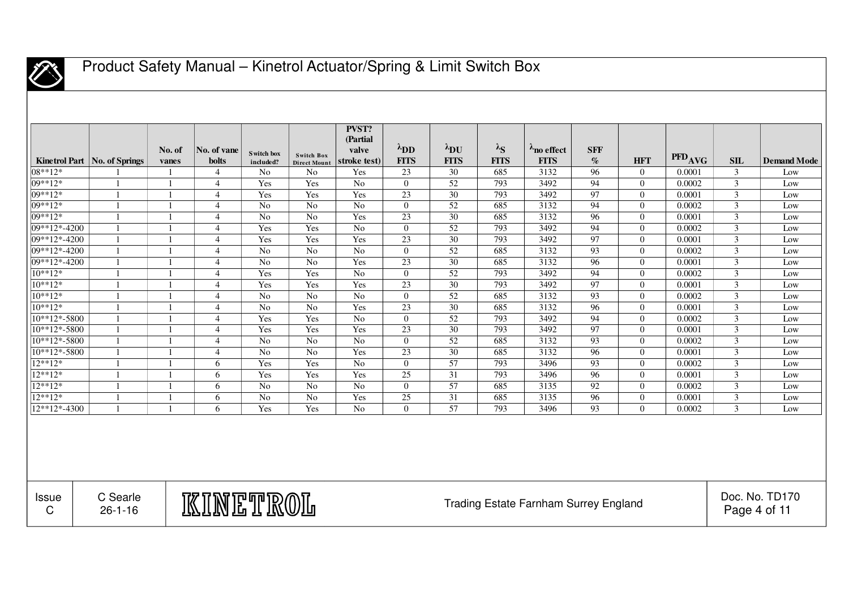

|                            | Kinetrol Part   No. of Springs                                                        | No. of<br>vanes | No. of vane<br><b>bolts</b> | Switch box<br>included? | Switch Box<br><b>Direct Mount</b> | PVST?<br>(Partial<br>valve<br>stroke test) | $\lambda_{\text{DD}}$<br><b>FITS</b> | $\lambda_{\text{DU}}$<br><b>FITS</b> | $\lambda_{S}$<br><b>FITS</b> | $\lambda_{\text{no effect}}$<br><b>FITS</b> | <b>SFF</b><br>$\mathcal{O}_0$ | <b>HFT</b>     | PFD <sub>AVG</sub> | SIL                            | <b>Demand Mode</b> |
|----------------------------|---------------------------------------------------------------------------------------|-----------------|-----------------------------|-------------------------|-----------------------------------|--------------------------------------------|--------------------------------------|--------------------------------------|------------------------------|---------------------------------------------|-------------------------------|----------------|--------------------|--------------------------------|--------------------|
| 08**12*                    |                                                                                       | -1              | $\overline{4}$              | No                      | N <sub>o</sub>                    | Yes                                        | 23                                   | 30                                   | 685                          | 3132                                        | 96                            | $\overline{0}$ | 0.0001             | $\mathfrak{Z}$                 | Low                |
| 09**12*                    | $\mathbf{1}$                                                                          | -1              | $\overline{4}$              | Yes                     | Yes                               | N <sub>0</sub>                             | $\overline{0}$                       | 52                                   | 793                          | 3492                                        | 94                            | $\overline{0}$ | 0.0002             | 3                              | Low                |
| 09**12*                    | $\overline{1}$                                                                        | $\overline{1}$  | $\overline{4}$              | Yes                     | Yes                               | Yes                                        | 23                                   | 30                                   | 793                          | 3492                                        | 97                            | $\overline{0}$ | 0.0001             | 3                              | Low                |
| 09**12*                    | $\mathbf{1}$                                                                          | $\mathbf{1}$    | $\overline{4}$              | $\overline{No}$         | N <sub>o</sub>                    | N <sub>o</sub>                             | $\overline{0}$                       | $\overline{52}$                      | 685                          | 3132                                        | 94                            | $\overline{0}$ | 0.0002             | 3                              | Low                |
| 09**12*                    | 1                                                                                     | $\overline{1}$  | $\overline{4}$              | N <sub>o</sub>          | N <sub>o</sub>                    | Yes                                        | 23                                   | $\overline{30}$                      | 685                          | 3132                                        | 96                            | $\overline{0}$ | 0.0001             | 3                              | Low                |
| 09**12*-4200               | $\mathbf{1}$                                                                          | -1              | $\overline{4}$              | Yes                     | Yes                               | N <sub>o</sub>                             | $\overline{0}$                       | 52                                   | 793                          | 3492                                        | 94                            | $\overline{0}$ | 0.0002             | 3                              | Low                |
| 09**12*-4200               | $\mathbf{1}$                                                                          | -1              | $\overline{4}$              | Yes                     | Yes                               | Yes                                        | 23                                   | 30                                   | 793                          | 3492                                        | 97                            | $\overline{0}$ | 0.0001             | 3                              | Low                |
| $\overline{09**12*}$ -4200 | $\mathbf{1}$                                                                          | -1              | $\overline{4}$              | N <sub>o</sub>          | No                                | N <sub>o</sub>                             | $\overline{0}$                       | 52                                   | 685                          | 3132                                        | 93                            | $\overline{0}$ | 0.0002             | 3                              | Low                |
| $09**12*-4200$             | $\mathbf{1}$                                                                          | $\overline{1}$  | $\overline{4}$              | No                      | No                                | Yes                                        | 23                                   | $\overline{30}$                      | 685                          | 3132                                        | 96                            | $\overline{0}$ | 0.0001             | 3                              | Low                |
| $10**12*$                  | $\mathbf{1}$                                                                          | $\overline{1}$  | $\overline{4}$              | Yes                     | Yes                               | N <sub>o</sub>                             | $\overline{0}$                       | 52                                   | 793                          | 3492                                        | 94                            | $\overline{0}$ | 0.0002             | 3                              | Low                |
| $10**12*$                  | $\mathbf{1}$                                                                          | $\mathbf{1}$    | $\overline{4}$              | Yes                     | Yes                               | Yes                                        | 23                                   | $\overline{30}$                      | 793                          | 3492                                        | 97                            | $\overline{0}$ | 0.0001             | 3                              | Low                |
| $10**12*$                  | $\mathbf{1}$                                                                          | $\mathbf{1}$    | $\overline{4}$              | N <sub>o</sub>          | No                                | N <sub>0</sub>                             | $\overline{0}$                       | 52                                   | 685                          | 3132                                        | 93                            | $\overline{0}$ | 0.0002             | 3                              | Low                |
| $10**12*$                  | 1                                                                                     | -1              | $\overline{4}$              | No                      | No                                | Yes                                        | 23                                   | 30                                   | 685                          | 3132                                        | 96                            | $\overline{0}$ | 0.0001             | $\mathfrak{Z}$                 | Low                |
| $10**12*-5800$             | $\mathbf{1}$                                                                          | $\overline{1}$  | $\overline{4}$              | Yes                     | Yes                               | N <sub>o</sub>                             | $\overline{0}$                       | 52                                   | 793                          | 3492                                        | 94                            | $\theta$       | 0.0002             | $\mathfrak{Z}$                 | Low                |
| 10**12*-5800               | $\mathbf{1}$                                                                          | $\mathbf{1}$    | $\overline{4}$              | Yes                     | Yes                               | Yes                                        | 23                                   | 30                                   | 793                          | 3492                                        | 97                            | $\overline{0}$ | 0.0001             | 3                              | Low                |
| 10**12*-5800               | 1                                                                                     | -1              | $\overline{4}$              | No                      | No                                | N <sub>o</sub>                             | $\overline{0}$                       | 52                                   | 685                          | 3132                                        | 93                            | $\Omega$       | 0.0002             | $\mathfrak{Z}$                 | Low                |
| $10**12*-5800$             | 1                                                                                     | -1              | $\overline{4}$              | No                      | No                                | Yes                                        | 23                                   | 30                                   | 685                          | 3132                                        | 96                            | $\Omega$       | 0.0001             | $\mathfrak{Z}$                 | Low                |
| $12**12*$                  | 1                                                                                     | $\mathbf{1}$    | 6                           | Yes                     | Yes                               | N <sub>o</sub>                             | $\overline{0}$                       | 57                                   | 793                          | 3496                                        | 93                            | $\theta$       | 0.0002             | $\mathfrak{Z}$                 | Low                |
| 12**12*                    | $\mathbf{1}$                                                                          | $\mathbf{1}$    | 6                           | Yes                     | Yes                               | Yes                                        | 25                                   | 31                                   | 793                          | 3496                                        | 96                            | $\overline{0}$ | 0.0001             | $\mathfrak{Z}$                 | Low                |
| $12**12*$                  | 1                                                                                     | $\overline{1}$  | 6                           | No                      | No                                | N <sub>o</sub>                             | $\overline{0}$                       | $\overline{57}$                      | 685                          | 3135                                        | 92                            | $\overline{0}$ | 0.0002             | 3                              | Low                |
| 12**12*                    | $\mathbf{1}$                                                                          | $\overline{1}$  | 6                           | $\overline{No}$         | No                                | Yes                                        | 25                                   | $\overline{31}$                      | 685                          | 3135                                        | 96                            | $\overline{0}$ | 0.0001             | $\mathfrak{Z}$                 | Low                |
| $12**12*-4300$             | $\mathbf{1}$                                                                          | $\overline{1}$  | 6                           | Yes                     | Yes                               | No                                         | $\theta$                             | 57                                   | 793                          | 3496                                        | 93                            | $\theta$       | 0.0002             | $\overline{3}$                 | Low                |
|                            |                                                                                       |                 |                             |                         |                                   |                                            |                                      |                                      |                              |                                             |                               |                |                    |                                |                    |
| <b>Issue</b><br>C          | C Searle<br>KINETROL<br><b>Trading Estate Farnham Surrey England</b><br>$26 - 1 - 16$ |                 |                             |                         |                                   |                                            |                                      |                                      |                              |                                             |                               |                |                    | Doc. No. TD170<br>Page 4 of 11 |                    |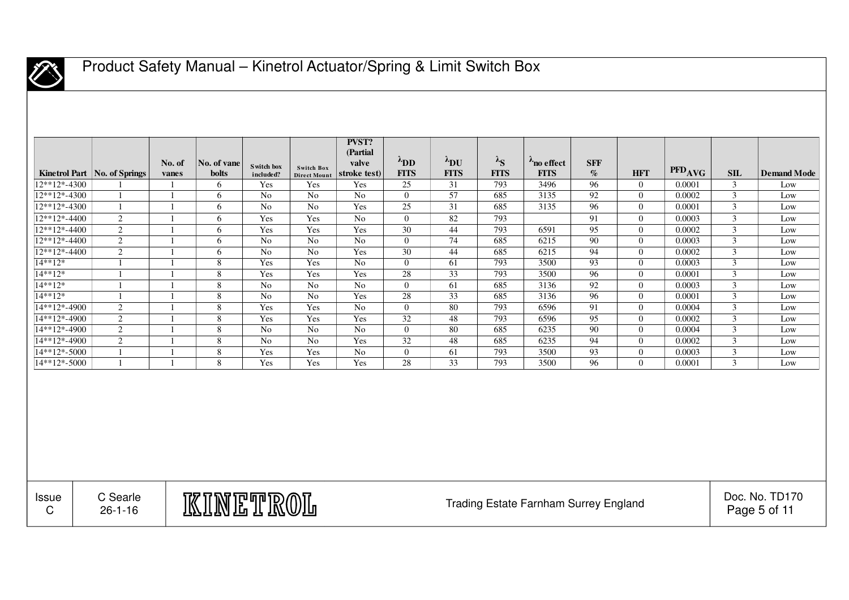

|                                                                      | Kinetrol Part   No. of Springs | No. of<br>vanes | No. of vane<br><b>bolts</b> | S witch box<br>included? | <b>Switch Box</b><br><b>Direct Mount</b> | <b>PVST?</b><br>(Partial<br>valve<br>stroke test) | $\lambda_{\text{DD}}$<br><b>FITS</b> | $\lambda_{\text{DU}}$<br><b>FITS</b> | $\lambda_{S}$<br><b>FITS</b> | $\lambda_{\text{no effect}}$<br><b>FITS</b> | <b>SFF</b><br>$\%$ | <b>HFT</b>     | PFD <sub>AVG</sub> | SIL                     | <b>Demand Mode</b>             |
|----------------------------------------------------------------------|--------------------------------|-----------------|-----------------------------|--------------------------|------------------------------------------|---------------------------------------------------|--------------------------------------|--------------------------------------|------------------------------|---------------------------------------------|--------------------|----------------|--------------------|-------------------------|--------------------------------|
| $\frac{12**12*-4300}{2*}$                                            |                                | -1              | 6                           | Yes                      | Yes                                      | Yes                                               | 25                                   | 31                                   | 793                          | 3496                                        | 96                 | $\Omega$       | 0.0001             | 3                       | Low                            |
| $12**12*-4300$                                                       | $\mathbf{1}$                   | $\overline{1}$  | 6                           | No                       | No                                       | N <sub>o</sub>                                    | $\theta$                             | 57                                   | 685                          | 3135                                        | 92                 | $\theta$       | 0.0002             | $\mathfrak{Z}$          | Low                            |
| 12**12*-4300                                                         | $\mathbf{1}$                   | $\mathbf{1}$    | 6                           | $\rm No$                 | $\rm No$                                 | Yes                                               | 25                                   | 31                                   | 685                          | 3135                                        | 96                 | $\overline{0}$ | 0.0001             | $\mathfrak{Z}$          | Low                            |
| 12**12*-4400                                                         | 2                              | $\mathbf{1}$    | 6                           | Yes                      | Yes                                      | No                                                | $\theta$                             | 82                                   | 793                          |                                             | 91                 | $\theta$       | 0.0003             | $\mathfrak{Z}$          | Low                            |
| 12**12*-4400                                                         | $\overline{c}$                 | $\overline{1}$  | 6                           | Yes                      | Yes                                      | Yes                                               | 30                                   | 44                                   | 793                          | 6591                                        | $\overline{95}$    | $\overline{0}$ | 0.0002             | $\overline{\mathbf{3}}$ | Low                            |
| 12**12*-4400                                                         | $\overline{c}$                 | $\mathbf{1}$    | 6                           | N <sub>o</sub>           | N <sub>o</sub>                           | No                                                | $\theta$                             | 74                                   | 685                          | 6215                                        | 90                 | $\theta$       | 0.0003             | $\mathfrak{Z}$          | Low                            |
| 12**12*-4400                                                         | 2                              | $\overline{1}$  | 6                           | No                       | No                                       | Yes                                               | 30                                   | 44                                   | 685                          | 6215                                        | 94                 | $\theta$       | 0.0002             | 3                       | Low                            |
| 14**12*                                                              | $\overline{1}$                 | $\overline{1}$  | $\,8\,$                     | Yes                      | Yes                                      | No                                                | $\theta$                             | 61                                   | 793                          | 3500                                        | 93                 | $\overline{0}$ | 0.0003             | $\overline{\mathbf{3}}$ | Low                            |
| 14**12*                                                              | $\overline{1}$                 | $\mathbf{1}$    | 8                           | Yes                      | Yes                                      | Yes                                               | 28                                   | 33                                   | 793                          | 3500                                        | 96                 | $\theta$       | 0.0001             | $\mathfrak{Z}$          | Low                            |
| 14**12*                                                              | $\overline{1}$                 | $\mathbf{1}$    | 8                           | N <sub>o</sub>           | No                                       | N <sub>o</sub>                                    | $\Omega$                             | 61                                   | 685                          | 3136                                        | 92                 | $\theta$       | 0.0003             | $\mathfrak{Z}$          | Low                            |
| 14**12*                                                              | $\overline{1}$                 | $\overline{1}$  | 8                           | $\overline{No}$          | $\overline{No}$                          | Yes                                               | 28                                   | 33                                   | 685                          | 3136                                        | 96                 | $\overline{0}$ | 0.0001             | $\mathfrak{Z}$          | Low                            |
| 14**12*-4900                                                         | 2                              | $\overline{1}$  | 8                           | Yes                      | Yes                                      | N <sub>o</sub>                                    | $\Omega$                             | 80                                   | 793                          | 6596                                        | 91                 | $\theta$       | 0.0004             | 3                       | Low                            |
| 14**12*-4900                                                         | 2                              | $\mathbf{1}$    | 8                           | Yes                      | Yes                                      | Yes                                               | 32                                   | 48                                   | 793                          | 6596                                        | 95                 | $\theta$       | 0.0002             | $\mathfrak{Z}$          | Low                            |
| 14**12*-4900                                                         | 2                              | $\mathbf{1}$    | 8                           | N <sub>o</sub>           | N <sub>o</sub>                           | N <sub>o</sub>                                    | $\overline{0}$                       | 80                                   | 685                          | 6235                                        | 90                 | $\overline{0}$ | 0.0004             | 3                       | Low                            |
| 14**12*-4900                                                         | 2                              | $\mathbf{1}$    | 8                           | N <sub>o</sub>           | $\overline{No}$                          | Yes                                               | 32                                   | 48                                   | 685                          | 6235                                        | 94                 | $\theta$       | 0.0002             | $\mathfrak{Z}$          | Low                            |
| 14**12*-5000                                                         | $\overline{1}$                 | $\mathbf{1}$    | 8                           | Yes                      | Yes                                      | No                                                | $\overline{0}$                       | 61                                   | 793                          | 3500                                        | 93                 | $\overline{0}$ | 0.0003             | $\mathfrak{Z}$          | Low                            |
| 14**12*-5000                                                         | $\overline{1}$                 | $\mathbf{1}$    | 8                           | Yes                      | Yes                                      | Yes                                               | 28                                   | 33                                   | 793                          | 3500                                        | 96                 | $\theta$       | 0.0001             | 3                       | Low                            |
|                                                                      |                                |                 |                             |                          |                                          |                                                   |                                      |                                      |                              |                                             |                    |                |                    |                         |                                |
| C Searle<br><u>KINETROL</u><br>Issue<br>$\mathsf C$<br>$26 - 1 - 16$ |                                |                 |                             |                          |                                          |                                                   |                                      |                                      |                              | Trading Estate Farnham Surrey England       |                    |                |                    |                         | Doc. No. TD170<br>Page 5 of 11 |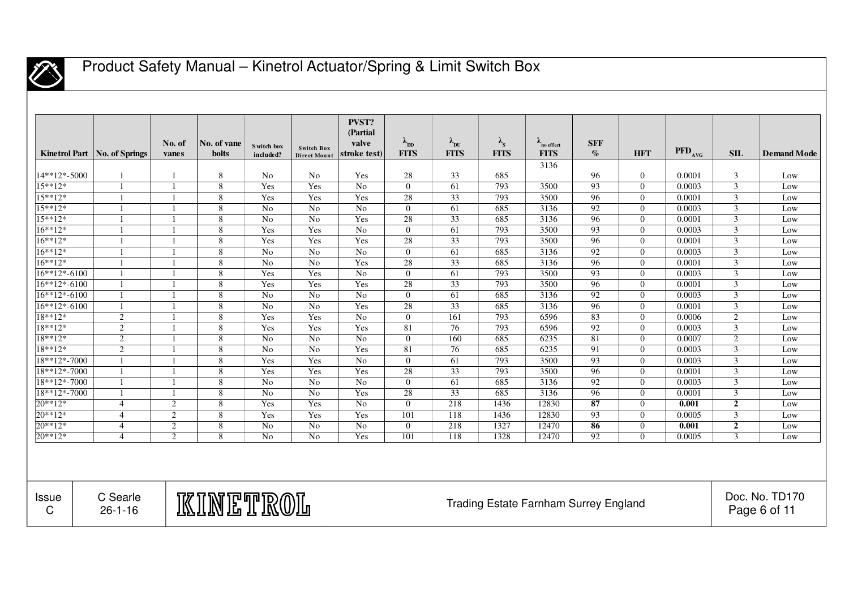

|                   | Kinetrol Part   No. of Springs                                                               | No. of<br>vanes | No. of vane<br>bolts | S witch box<br>included? | <b>Switch Box</b><br><b>Direct Mount</b> | <b>PVST?</b><br>(Partial<br>valve<br>stroke test) | $\lambda_{DD}$<br><b>FITS</b> | $\lambda_{\rm DU}$<br><b>FITS</b> | $\lambda_{\rm s}$<br><b>FITS</b> | $\lambda$ no effect<br><b>FITS</b> | <b>SFF</b><br>$\mathcal{O}_0$ | <b>HFT</b>     | $\overline{\mathrm{PFD}_{\mathrm{AVG}}}$ | SIL              | <b>Demand Mode</b> |
|-------------------|----------------------------------------------------------------------------------------------|-----------------|----------------------|--------------------------|------------------------------------------|---------------------------------------------------|-------------------------------|-----------------------------------|----------------------------------|------------------------------------|-------------------------------|----------------|------------------------------------------|------------------|--------------------|
|                   |                                                                                              |                 |                      |                          |                                          |                                                   |                               |                                   |                                  | 3136                               |                               |                |                                          |                  |                    |
| 14**12*-5000      | -1                                                                                           | $\overline{1}$  | 8                    | No                       | N <sub>0</sub>                           | Yes                                               | 28                            | 33                                | 685                              |                                    | 96                            | $\overline{0}$ | 0.0001                                   | 3                | Low                |
| $15***12*$        | $\overline{1}$                                                                               | $\overline{1}$  | 8                    | Yes                      | Yes                                      | No                                                | $\Omega$                      | 61                                | 793                              | 3500                               | 93                            | $\Omega$       | 0.0003                                   | 3                | Low                |
| 15**12*           | $\overline{1}$                                                                               | $\overline{1}$  | 8                    | Yes                      | Yes                                      | Yes                                               | 28                            | 33                                | 793                              | 3500                               | 96                            | $\Omega$       | 0.0001                                   | 3                | Low                |
| $15***12*$        |                                                                                              | $\overline{1}$  | 8                    | No                       | No                                       | N <sub>o</sub>                                    | $\theta$                      | 61                                | 685                              | 3136                               | 92                            | $\theta$       | 0.0003                                   | $\mathfrak{Z}$   | Low                |
| $15***12*$        | $\mathbf{1}$                                                                                 | $\overline{1}$  | 8                    | No                       | N <sub>o</sub>                           | Yes                                               | 28                            | 33                                | 685                              | 3136                               | 96                            | $\theta$       | 0.0001                                   | $\mathfrak{Z}$   | Low                |
| $16***12*$        | $\mathbf{1}$                                                                                 | $\overline{1}$  | 8                    | Yes                      | Yes                                      | N <sub>o</sub>                                    | $\Omega$                      | 61                                | 793                              | 3500                               | 93                            | $\theta$       | 0.0003                                   | 3                | Low                |
| $16***12*$        | $\overline{1}$                                                                               | $\overline{1}$  | 8                    | Yes                      | Yes                                      | Yes                                               | 28                            | 33                                | 793                              | 3500                               | $\overline{96}$               | $\Omega$       | 0.0001                                   | $\mathfrak{Z}$   | Low                |
| $16***12*$        | $\overline{1}$                                                                               | $\overline{1}$  | 8                    | No                       | No                                       | N <sub>o</sub>                                    | $\Omega$                      | 61                                | 685                              | 3136                               | 92                            | $\theta$       | 0.0003                                   | $\mathfrak{Z}$   | Low                |
| $16***12*$        |                                                                                              | $\overline{1}$  | 8                    | No                       | No                                       | Yes                                               | 28                            | 33                                | 685                              | 3136                               | 96                            | $\theta$       | 0.0001                                   | 3                | Low                |
| $16**12*-6100$    | $\mathbf{1}$                                                                                 | $\overline{1}$  | 8                    | Yes                      | Yes                                      | N <sub>o</sub>                                    | $\theta$                      | 61                                | 793                              | 3500                               | 93                            | $\Omega$       | 0.0003                                   | 3                | Low                |
| $16**12*-6100$    | $\overline{1}$                                                                               | $\overline{1}$  | 8                    | Yes                      | Yes                                      | Yes                                               | 28                            | 33                                | 793                              | 3500                               | 96                            | $\Omega$       | 0.0001                                   | 3                | Low                |
| $16***12*-6100$   | $\overline{1}$                                                                               | $\overline{1}$  | 8                    | No                       | No                                       | No                                                | $\Omega$                      | 61                                | 685                              | 3136                               | 92                            | $\theta$       | 0.0003                                   | 3                | Low                |
| 16**12*-6100      | $\mathbf{1}$                                                                                 |                 | 8                    | No                       | No                                       | Yes                                               | 28                            | 33                                | 685                              | 3136                               | 96                            | $\Omega$       | 0.0001                                   | 3                | Low                |
| 18**12*           | 2                                                                                            | $\overline{1}$  | $\,$ 8 $\,$          | Yes                      | Yes                                      | N <sub>o</sub>                                    | $\overline{0}$                | 161                               | 793                              | 6596                               | 83                            | $\theta$       | 0.0006                                   | 2                | Low                |
| 18**12*           | $\mathfrak{2}$                                                                               | $\overline{1}$  | 8                    | Yes                      | Yes                                      | Yes                                               | 81                            | 76                                | 793                              | 6596                               | 92                            | $\Omega$       | 0.0003                                   | 3                | Low                |
| $18**12*$         | 2                                                                                            | $\overline{1}$  | 8                    | No                       | No                                       | N <sub>o</sub>                                    | $\theta$                      | 160                               | 685                              | 6235                               | 81                            | $\theta$       | 0.0007                                   | 2                | Low                |
| $18**12*$         | 2                                                                                            | $\overline{1}$  | 8                    | No                       | No                                       | Yes                                               | 81                            | 76                                | 685                              | 6235                               | 91                            | $\Omega$       | 0.0003                                   | $\mathfrak{Z}$   | Low                |
| 18**12*-7000      | $\mathbf{1}$                                                                                 | $\overline{1}$  | 8                    | Yes                      | Yes                                      | N <sub>o</sub>                                    | $\Omega$                      | 61                                | 793                              | 3500                               | 93                            | $\Omega$       | 0.0003                                   | 3                | Low                |
| 18**12*-7000      | $\mathbf{1}$                                                                                 | $\overline{1}$  | 8                    | Yes                      | Yes                                      | Yes                                               | 28                            | 33                                | 793                              | 3500                               | 96                            | $\theta$       | 0.0001                                   | 3                | Low                |
| 18**12*-7000      | $\overline{1}$                                                                               | $\overline{1}$  | 8                    | No                       | No                                       | N <sub>o</sub>                                    | $\Omega$                      | 61                                | 685                              | 3136                               | 92                            | $\theta$       | 0.0003                                   | 3                | Low                |
| 18**12*-7000      | $\overline{1}$                                                                               | $\overline{1}$  | 8                    | No                       | No                                       | Yes                                               | 28                            | 33                                | 685                              | 3136                               | 96                            | $\theta$       | 0.0001                                   | 3                | Low                |
| $20**12*$         | $\overline{4}$                                                                               | $\overline{2}$  | 8                    | Yes                      | Yes                                      | No                                                | $\Omega$                      | $\overline{218}$                  | 1436                             | 12830                              | 87                            | $\Omega$       | 0.001                                    | $\overline{2}$   | Low                |
| 20**12*           | $\overline{4}$                                                                               | $\overline{2}$  | $\sqrt{8}$           | Yes                      | Yes                                      | Yes                                               | 101                           | 118                               | 1436                             | 12830                              | 93                            | $\theta$       | 0.0005                                   | $\overline{3}$   | Low                |
| 20**12*           | $\overline{4}$                                                                               | $\overline{2}$  | 8                    | $\overline{No}$          | No                                       | N <sub>o</sub>                                    | $\theta$                      | 218                               | 1327                             | 12470                              | 86                            | $\theta$       | 0.001                                    | $\boldsymbol{2}$ | Low                |
| $20**12*$         | $\overline{\mathcal{A}}$                                                                     | 2               | 8                    | No                       | No                                       | Yes                                               | 101                           | 118                               | 1328                             | 12470                              | 92                            | $\Omega$       | 0.0005                                   | 3                | Low                |
|                   |                                                                                              |                 |                      |                          |                                          |                                                   |                               |                                   |                                  |                                    |                               |                |                                          |                  |                    |
| <b>Issue</b><br>C | C Searle<br><u>KINETROL</u><br><b>Trading Estate Farnham Surrey England</b><br>$26 - 1 - 16$ |                 |                      |                          |                                          |                                                   |                               |                                   |                                  |                                    |                               |                | Doc. No. TD170<br>Page 6 of 11           |                  |                    |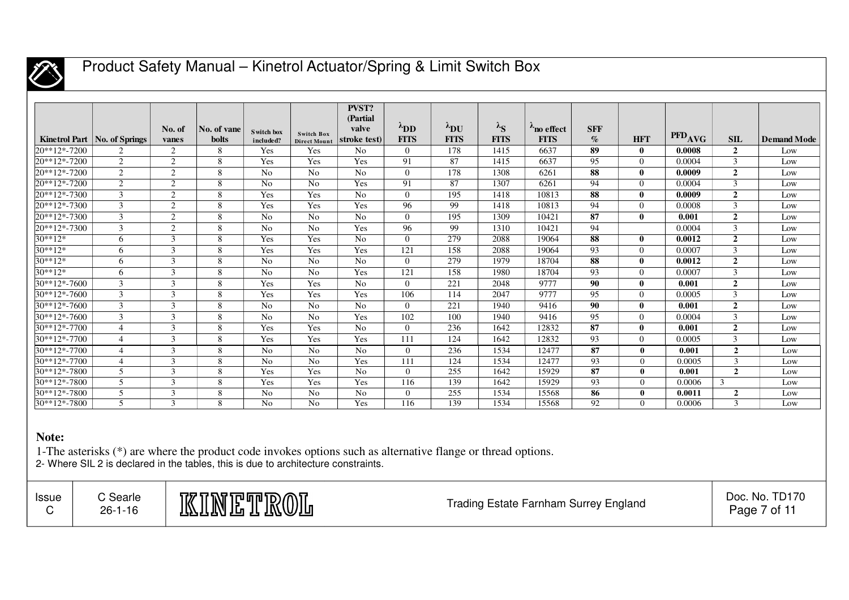

|                |                                |        |              |                |                     | <b>PVST?</b>   |                |                       |                   |             |                 |                |                    |                |                    |
|----------------|--------------------------------|--------|--------------|----------------|---------------------|----------------|----------------|-----------------------|-------------------|-------------|-----------------|----------------|--------------------|----------------|--------------------|
|                |                                |        |              |                |                     | (Partial)      |                |                       |                   |             |                 |                |                    |                |                    |
|                |                                | No. of | No. of vane  | Switch box     | <b>Switch Box</b>   | valve          | $\lambda$ DD   | $\lambda_{\text{DU}}$ | $\lambda_{\rm S}$ | no effect   | <b>SFF</b>      |                | PFD <sub>AVG</sub> |                |                    |
|                | Kinetrol Part   No. of Springs | vanes  | <b>bolts</b> | included?      | <b>Direct Mount</b> | stroke test)   | <b>FITS</b>    | <b>FITS</b>           | <b>FITS</b>       | <b>FITS</b> | $\mathcal{O}_0$ | <b>HFT</b>     |                    | SIL            | <b>Demand Mode</b> |
| 20**12*-7200   | 2                              | 2      | 8            | Yes            | Yes                 | No             | $\overline{0}$ | 178                   | 1415              | 6637        | 89              | $\bf{0}$       | 0.0008             | $\overline{2}$ | Low                |
| 20**12*-7200   | 2                              | 2      | 8            | Yes            | Yes                 | Yes            | 91             | 87                    | 1415              | 6637        | 95              | $\theta$       | 0.0004             | 3              | Low                |
| 20**12*-7200   | 2                              | 2      | 8            | N <sub>o</sub> | N <sub>o</sub>      | N <sub>o</sub> | $\overline{0}$ | 178                   | 1308              | 6261        | 88              | $\mathbf{0}$   | 0.0009             | $\overline{2}$ | Low                |
| 20**12*-7200   | 2                              | 2      | 8            | N <sub>o</sub> | N <sub>o</sub>      | Yes            | 91             | 87                    | 1307              | 6261        | 94              | $\theta$       | 0.0004             | 3              | Low                |
| 20**12*-7300   | 3                              | 2      | 8            | Yes            | Yes                 | N <sub>0</sub> | $\overline{0}$ | 195                   | 1418              | 10813       | 88              | $\bf{0}$       | 0.0009             | $\overline{2}$ | Low                |
| 20**12*-7300   | $\overline{3}$                 | 2      | 8            | Yes            | Yes                 | Yes            | 96             | 99                    | 1418              | 10813       | 94              | $\theta$       | 0.0008             | 3              | Low                |
| 20**12*-7300   | 3                              | 2      | 8            | N <sub>o</sub> | N <sub>o</sub>      | No             | $\theta$       | 195                   | 1309              | 10421       | 87              | $\mathbf{0}$   | 0.001              | $\overline{2}$ | Low                |
| 20**12*-7300   | 3                              | 2      | 8            | N <sub>o</sub> | N <sub>o</sub>      | Yes            | 96             | 99                    | 1310              | 10421       | 94              |                | 0.0004             | 3              | Low                |
| $30**12*$      | 6                              | 3      | 8            | Yes            | Yes                 | No             | $\Omega$       | 279                   | 2088              | 19064       | 88              | $\mathbf{0}$   | 0.0012             | $\overline{2}$ | Low                |
| $30**12*$      | 6                              | 3      | 8            | Yes            | Yes                 | Yes            | 121            | 158                   | 2088              | 19064       | 93              | $\overline{0}$ | 0.0007             | 3              | Low                |
| $30**12*$      | 6                              | 3      | 8            | N <sub>0</sub> | N <sub>o</sub>      | N <sub>0</sub> | $\Omega$       | 279                   | 1979              | 18704       | 88              | $\mathbf{0}$   | 0.0012             | $\overline{2}$ | Low                |
| $30**12*$      | 6                              | 3      | 8            | N <sub>o</sub> | N <sub>o</sub>      | Yes            | 121            | 158                   | 1980              | 18704       | 93              | $\theta$       | 0.0007             | 3              | Low                |
| $30**12*-7600$ | 3                              | 3      | 8            | Yes            | Yes                 | N <sub>o</sub> | $\Omega$       | 221                   | 2048              | 9777        | 90              | $\bf{0}$       | 0.001              | $\overline{2}$ | Low                |
| $30**12*-7600$ | $\mathfrak{Z}$                 | 3      | 8            | Yes            | Yes                 | Yes            | 106            | 114                   | 2047              | 9777        | 95              | $\theta$       | 0.0005             | 3              | Low                |
| $30**12*-7600$ | 3                              | 3      | 8            | N <sub>o</sub> | N <sub>o</sub>      | No             | $\Omega$       | 221                   | 1940              | 9416        | 90              | $\mathbf{0}$   | 0.001              | $\overline{2}$ | Low                |
| $30**12*-7600$ | $\mathbf{3}$                   | 3      | 8            | N <sub>o</sub> | N <sub>o</sub>      | Yes            | 102            | 100                   | 1940              | 9416        | 95              | $\theta$       | 0.0004             | 3              | Low                |
| $30**12*-7700$ | $\overline{4}$                 | 3      | 8            | Yes            | Yes                 | No             | $\Omega$       | 236                   | 1642              | 12832       | 87              | $\mathbf{0}$   | 0.001              | $\overline{2}$ | Low                |
| $30**12*-7700$ | $\overline{4}$                 | 3      | 8            | Yes            | Yes                 | Yes            | 111            | 124                   | 1642              | 12832       | 93              | $\overline{0}$ | 0.0005             | 3              | Low                |
| 30**12*-7700   | $\overline{4}$                 | 3      | 8            | No             | No                  | N <sub>0</sub> | $\overline{0}$ | 236                   | 1534              | 12477       | 87              | $\bf{0}$       | 0.001              | $\overline{2}$ | Low                |
| 30**12*-7700   | $\overline{4}$                 | 3      | 8            | No             | No                  | Yes            | 111            | 124                   | 1534              | 12477       | 93              | $\theta$       | 0.0005             | 3              | Low                |
| 30**12*-7800   | 5                              | 3      | 8            | Yes            | Yes                 | N <sub>0</sub> | $\overline{0}$ | 255                   | 1642              | 15929       | 87              | $\mathbf 0$    | 0.001              | $\overline{2}$ | Low                |
| 30**12*-7800   | 5                              | 3      | 8            | Yes            | Yes                 | Yes            | 116            | 139                   | 1642              | 15929       | 93              | $\Omega$       | 0.0006             | 3              | Low                |
| 30**12*-7800   | 5                              | 3      | 8            | N <sub>o</sub> | No                  | N <sub>o</sub> | $\mathbf{0}$   | 255                   | 1534              | 15568       | 86              | $\mathbf{0}$   | 0.0011             | $\overline{2}$ | Low                |
| 30**12*-7800   | 5                              | 3      | 8            | N <sub>o</sub> | N <sub>o</sub>      | Yes            | 116            | 139                   | 1534              | 15568       | 92              | $\Omega$       | 0.0006             | 3              | Low                |

#### **Note:**

1-The asterisks (\*) are where the product code invokes options such as alternative flange or thread options. 2- Where SIL 2 is declared in the tables, this is due to architecture constraints.

| <b>Issue</b> | C Searle<br>$26 - 1 - 16$ | KINETROL | <b>Trading Estate Farnham Surrey England</b> | Doc. No. TD170<br>Page 7 of 1 |
|--------------|---------------------------|----------|----------------------------------------------|-------------------------------|
|--------------|---------------------------|----------|----------------------------------------------|-------------------------------|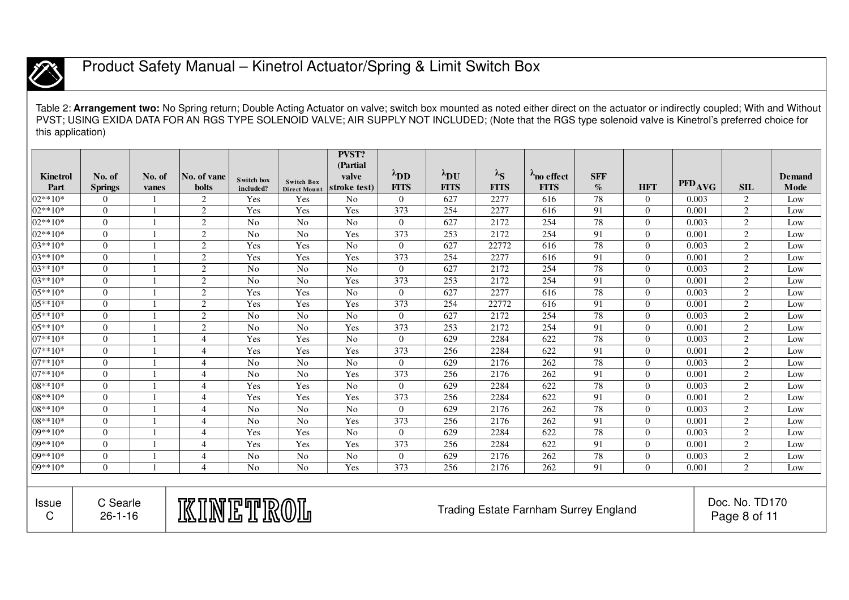

Table 2: **Arrangement two:** No Spring return; Double Acting Actuator on valve; switch box mounted as noted either direct on the actuator or indirectly coupled; With and Without PVST; USING EXIDA DATA FOR AN RGS TYPE SOLENOID VALVE; AIR SUPPLY NOT INCLUDED; (Note that the RGS type solenoid valve is Kinetrol's preferred choice for this application)

|                 |                           |                |                |                         |                                   | <b>PVST?</b><br>(Partial) |                       |                       |                   |                                              |            |                |                    |                                |               |
|-----------------|---------------------------|----------------|----------------|-------------------------|-----------------------------------|---------------------------|-----------------------|-----------------------|-------------------|----------------------------------------------|------------|----------------|--------------------|--------------------------------|---------------|
| <b>Kinetrol</b> | No. of                    | No. of         | No. of vane    |                         |                                   | valve                     | $\lambda_{\text{DD}}$ | $\lambda_{\text{DU}}$ | $\lambda_{\rm S}$ | no effect                                    | <b>SFF</b> |                |                    |                                | <b>Demand</b> |
| Part            | <b>Springs</b>            | vanes          | <b>bolts</b>   | Switch box<br>included? | <b>Switch Box</b><br>Direct Mount | stroke test)              | <b>FITS</b>           | <b>FITS</b>           | <b>FITS</b>       | <b>FITS</b>                                  | $\%$       | <b>HFT</b>     | PFD <sub>AVG</sub> | SIL                            | Mode          |
| 02**10*         | $\overline{0}$            |                | 2              | Yes                     | Yes                               | No                        | $\overline{0}$        | 627                   | 2277              | 616                                          | 78         | $\overline{0}$ | 0.003              | 2                              | Low           |
| $02**10*$       | $\overline{0}$            | $\overline{1}$ | 2              | Yes                     | Yes                               | Yes                       | 373                   | 254                   | 2277              | 616                                          | 91         | $\overline{0}$ | 0.001              | 2                              | Low           |
| $02**10*$       | $\overline{0}$            |                | $\sqrt{2}$     | N <sub>0</sub>          | N <sub>o</sub>                    | N <sub>0</sub>            | $\Omega$              | 627                   | 2172              | 254                                          | 78         | $\overline{0}$ | 0.003              | $\mathfrak{2}$                 | Low           |
| $02**10*$       | $\overline{0}$            |                | 2              | N <sub>0</sub>          | No                                | Yes                       | 373                   | $\overline{253}$      | 2172              | 254                                          | 91         | $\overline{0}$ | 0.001              | 2                              | Low           |
| $03**10*$       | $\theta$                  | $\blacksquare$ | $\overline{2}$ | Yes                     | Yes                               | N <sub>o</sub>            | $\Omega$              | 627                   | 22772             | 616                                          | 78         | $\overline{0}$ | 0.003              | $\overline{2}$                 | Low           |
| $03**10*$       | $\overline{0}$            |                | 2              | Yes                     | Yes                               | Yes                       | 373                   | 254                   | 2277              | 616                                          | 91         | $\overline{0}$ | 0.001              | 2                              | Low           |
| 03**10*         | $\overline{0}$            |                | $\overline{2}$ | N <sub>o</sub>          | $\overline{No}$                   | N <sub>o</sub>            | $\overline{0}$        | 627                   | 2172              | 254                                          | 78         | $\overline{0}$ | 0.003              | $\mathfrak{2}$                 | Low           |
| $03**10*$       | $\overline{0}$            | $\overline{1}$ | 2              | No                      | No                                | Yes                       | 373                   | 253                   | 2172              | 254                                          | 91         | $\overline{0}$ | 0.001              | 2                              | Low           |
| $05**10*$       | $\Omega$                  |                | 2              | Yes                     | Yes                               | N <sub>0</sub>            | $\Omega$              | 627                   | 2277              | 616                                          | 78         | $\overline{0}$ | 0.003              | 2                              | Low           |
| 05**10*         | $\theta$                  | $\overline{1}$ | 2              | Yes                     | Yes                               | Yes                       | 373                   | 254                   | 22772             | 616                                          | 91         | $\overline{0}$ | 0.001              | $\overline{2}$                 | Low           |
| 05**10*         | $\overline{0}$            | $\overline{1}$ | 2              | N <sub>o</sub>          | $\overline{No}$                   | No                        | $\Omega$              | 627                   | 2172              | 254                                          | 78         | $\overline{0}$ | 0.003              | $\mathfrak{2}$                 | Low           |
| 05**10*         | $\overline{0}$            |                | 2              | N <sub>0</sub>          | No                                | Yes                       | 373                   | 253                   | 2172              | 254                                          | 91         | $\overline{0}$ | 0.001              | 2                              | Low           |
| 07**10*         | $\overline{0}$            |                | $\overline{4}$ | Yes                     | Yes                               | N <sub>o</sub>            | $\overline{0}$        | 629                   | 2284              | 622                                          | 78         | $\overline{0}$ | 0.003              | $\mathfrak{2}$                 | Low           |
| $07**10*$       | $\overline{0}$            | $\overline{1}$ | $\overline{4}$ | Yes                     | Yes                               | Yes                       | 373                   | 256                   | 2284              | 622                                          | 91         | $\overline{0}$ | 0.001              | 2                              | Low           |
| $07**10*$       | $\Omega$                  |                | $\overline{4}$ | No                      | No                                | N <sub>0</sub>            | $\Omega$              | 629                   | 2176              | 262                                          | 78         | $\Omega$       | 0.003              | $\mathfrak{2}$                 | Low           |
| $07**10*$       | $\Omega$                  | $\overline{1}$ | $\overline{4}$ | No                      | N <sub>o</sub>                    | Yes                       | 373                   | 256                   | 2176              | 262                                          | 91         | $\overline{0}$ | 0.001              | $\overline{2}$                 | Low           |
| 08**10*         | $\theta$                  | $\overline{1}$ | $\overline{4}$ | Yes                     | Yes                               | $\overline{No}$           | $\Omega$              | 629                   | 2284              | 622                                          | 78         | $\Omega$       | 0.003              | $\overline{2}$                 | Low           |
| 08**10*         | $\overline{0}$            | $\overline{1}$ | $\overline{4}$ | Yes                     | Yes                               | Yes                       | 373                   | 256                   | 2284              | 622                                          | 91         | $\overline{0}$ | 0.001              | $\overline{c}$                 | Low           |
| 08**10*         | $\overline{0}$            |                | $\overline{4}$ | N <sub>o</sub>          | $\rm No$                          | N <sub>o</sub>            | $\Omega$              | 629                   | 2176              | 262                                          | 78         | $\overline{0}$ | 0.003              | $\overline{2}$                 | Low           |
| 08**10*         | $\overline{0}$            | $\overline{1}$ | $\overline{4}$ | N <sub>0</sub>          | No                                | Yes                       | 373                   | 256                   | 2176              | 262                                          | 91         | $\overline{0}$ | 0.001              | 2                              | Low           |
| $09**10*$       | $\theta$                  | $\overline{1}$ | $\overline{4}$ | Yes                     | Yes                               | N <sub>0</sub>            | $\Omega$              | 629                   | 2284              | 622                                          | 78         | $\overline{0}$ | 0.003              | 2                              | Low           |
| $09**10*$       | $\theta$                  | $\overline{1}$ | $\overline{4}$ | Yes                     | Yes                               | Yes                       | 373                   | 256                   | 2284              | 622                                          | 91         | $\overline{0}$ | 0.001              | $\overline{2}$                 | Low           |
| 09**10*         | $\theta$                  |                | $\overline{4}$ | N <sub>o</sub>          | No                                | N <sub>o</sub>            | $\Omega$              | 629                   | 2176              | 262                                          | 78         | $\overline{0}$ | 0.003              | $\mathfrak{2}$                 | Low           |
| 09**10*         | $\Omega$                  | $\overline{1}$ | $\overline{4}$ | N <sub>0</sub>          | No                                | Yes                       | 373                   | 256                   | 2176              | 262                                          | 91         | $\overline{0}$ | 0.001              | 2                              | Low           |
|                 |                           |                |                |                         |                                   |                           |                       |                       |                   |                                              |            |                |                    |                                |               |
| Issue<br>C      | C Searle<br>$26 - 1 - 16$ |                | KINETROL       |                         |                                   |                           |                       |                       |                   | <b>Trading Estate Farnham Surrey England</b> |            |                |                    | Doc. No. TD170<br>Page 8 of 11 |               |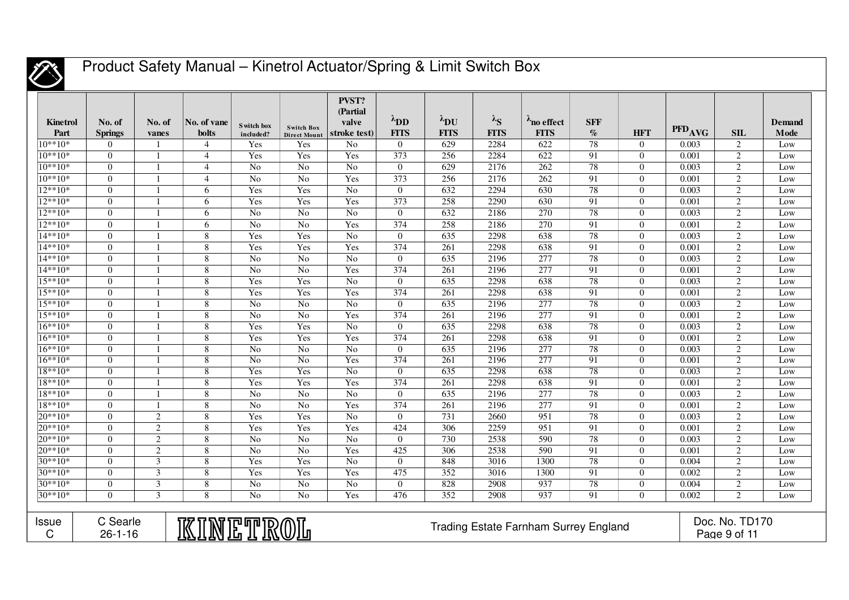

| <b>Kinetrol</b><br>Part   | No. of<br><b>Springs</b>                                                                                                     | No. of<br>vanes         | No. of vane<br><b>bolts</b> | S witch box<br>included? | <b>Switch Box</b><br><b>Direct Mount</b> | PVST?<br>(Partial)<br>valve<br>stroke test) | $\lambda_{\text{DD}}$<br><b>FITS</b> | $\lambda_{\text{DU}}$<br><b>FITS</b> | $\lambda_{\mathbf{S}}$<br><b>FITS</b> | $\lambda$ no effect<br><b>FITS</b> | <b>SFF</b><br>$\%$ | <b>HFT</b>     | PFD <sub>AVG</sub> | SIL            | Demand<br>Mode  |
|---------------------------|------------------------------------------------------------------------------------------------------------------------------|-------------------------|-----------------------------|--------------------------|------------------------------------------|---------------------------------------------|--------------------------------------|--------------------------------------|---------------------------------------|------------------------------------|--------------------|----------------|--------------------|----------------|-----------------|
| $10**10*$                 | $\overline{0}$                                                                                                               |                         | $\overline{4}$              | Yes                      | Yes                                      | No                                          | $\overline{0}$                       | 629                                  | 2284                                  | 622                                | 78                 | $\theta$       | 0.003              | 2              | Low             |
| $10**10*$                 | $\overline{0}$                                                                                                               |                         | $\overline{4}$              | Yes                      | Yes                                      | Yes                                         | 373                                  | 256                                  | 2284                                  | 622                                | 91                 | $\theta$       | 0.001              | 2              | Low             |
| $10**10*$                 | $\theta$                                                                                                                     |                         | $\overline{4}$              | No                       | $\overline{No}$                          | N <sub>o</sub>                              | $\theta$                             | 629                                  | 2176                                  | 262                                | 78                 | $\theta$       | 0.003              | 2              | Low             |
| $10**10*$                 | $\theta$                                                                                                                     | $\mathbf{1}$            | $\overline{4}$              | N <sub>0</sub>           | $\overline{No}$                          | Yes                                         | 373                                  | 256                                  | 2176                                  | 262                                | 91                 | $\theta$       | 0.001              | 2              | Low             |
| $12**10*$                 | $\boldsymbol{0}$                                                                                                             |                         | 6                           | Yes                      | Yes                                      | $\overline{No}$                             | $\mathbf{0}$                         | 632                                  | 2294                                  | 630                                | 78                 | $\theta$       | 0.003              | $\overline{2}$ | Low             |
| $12**10*$                 | $\mathbf{0}$                                                                                                                 |                         | 6                           | Yes                      | Yes                                      | Yes                                         | 373                                  | 258                                  | 2290                                  | 630                                | 91                 | $\theta$       | 0.001              | 2              | Low             |
| $12**10*$                 | $\theta$                                                                                                                     |                         | 6                           | No                       | No                                       | N <sub>o</sub>                              | $\Omega$                             | 632                                  | 2186                                  | 270                                | $\overline{78}$    | $\Omega$       | 0.003              | 2              | Low             |
| $12**10*$                 | $\Omega$                                                                                                                     |                         | 6                           | No                       | $\overline{No}$                          | Yes                                         | 374                                  | 258                                  | 2186                                  | 270                                | 91                 | $\Omega$       | 0.001              | 2              | Low             |
| $14**10*$                 | $\theta$                                                                                                                     |                         | 8                           | Yes                      | Yes                                      | $\overline{No}$                             | $\Omega$                             | 635                                  | 2298                                  | 638                                | $\overline{78}$    | $\Omega$       | 0.003              | 2              | Low             |
| 14**10*                   | $\overline{0}$                                                                                                               |                         | 8                           | Yes                      | Yes                                      | Yes                                         | 374                                  | 261                                  | 2298                                  | 638                                | 91                 | $\theta$       | 0.001              | 2              | Low             |
| $14**10*$                 | $\theta$                                                                                                                     |                         | 8                           | No                       | $\overline{No}$                          | N <sub>o</sub>                              | $\overline{0}$                       | 635                                  | 2196                                  | 277                                | 78                 | $\overline{0}$ | 0.003              | 2              | Low             |
| $14**10*$                 | $\theta$                                                                                                                     |                         | $\overline{8}$              | No                       | $\overline{No}$                          | Yes                                         | 374                                  | 261                                  | 2196                                  | $\overline{277}$                   | 91                 | $\overline{0}$ | 0.001              | $\overline{2}$ | Low             |
| $15**10*$                 | $\Omega$                                                                                                                     |                         | 8                           | Yes                      | Yes                                      | N <sub>o</sub>                              | $\Omega$                             | 635                                  | 2298                                  | 638                                | 78                 | $\theta$       | 0.003              | 2              | Low             |
| $15**10*$                 | $\theta$                                                                                                                     |                         | $\overline{8}$              | Yes                      | Yes                                      | Yes                                         | $\overline{374}$                     | $\overline{261}$                     | 2298                                  | 638                                | 91                 | $\theta$       | 0.001              | $\overline{2}$ | Low             |
| $15***10*$                | $\theta$                                                                                                                     |                         | 8                           | N <sub>0</sub>           | No                                       | No                                          | $\overline{0}$                       | 635                                  | 2196                                  | 277                                | 78                 | $\theta$       | 0.003              | 2              | Low             |
| $15**10*$                 | $\overline{0}$                                                                                                               |                         | 8                           | No                       | No                                       | Yes                                         | 374                                  | 261                                  | 2196                                  | $\overline{277}$                   | 91                 | $\theta$       | 0.001              | 2              | Low             |
| $16**10*$                 | $\theta$                                                                                                                     |                         | $\overline{8}$              | Yes                      | Yes                                      | $\overline{No}$                             | $\overline{0}$                       | 635                                  | 2298                                  | 638                                | 78                 | $\theta$       | 0.003              | 2              | Low             |
| $16**10*$                 | $\Omega$                                                                                                                     |                         | 8                           | Yes                      | Yes                                      | Yes                                         | 374                                  | $\overline{261}$                     | 2298                                  | 638                                | 91                 | $\Omega$       | 0.001              | 2              | Low             |
| $16**10*$                 | $\theta$                                                                                                                     | $\mathbf{1}$            | 8                           | No                       | N <sub>0</sub>                           | No                                          | $\overline{0}$                       | 635                                  | 2196                                  | 277                                | 78                 | $\theta$       | 0.003              | 2              | Low             |
| $16**10*$                 | $\theta$                                                                                                                     | $\mathbf{1}$            | 8                           | No                       | N <sub>0</sub>                           | Yes                                         | 374                                  | 261                                  | 2196                                  | $\overline{277}$                   | 91                 | $\theta$       | 0.001              | 2              | Low             |
| $18**10*$                 | $\theta$                                                                                                                     |                         | 8                           | Yes                      | Yes                                      | $\overline{No}$                             | $\Omega$                             | 635                                  | 2298                                  | 638                                | 78                 | $\Omega$       | 0.003              | 2              | Low             |
| $18**10*$                 | $\theta$                                                                                                                     |                         | 8                           | Yes                      | Yes                                      | Yes                                         | 374                                  | 261                                  | 2298                                  | 638                                | 91                 | $\Omega$       | 0.001              | 2              | Low             |
| $18**10*$                 | $\overline{0}$                                                                                                               |                         | 8                           | No                       | $\overline{No}$                          | $\overline{No}$                             | $\overline{0}$                       | 635                                  | 2196                                  | $\overline{277}$                   | $\overline{78}$    | $\theta$       | 0.003              | 2              | Low             |
| 18**10*                   | $\theta$                                                                                                                     |                         | 8                           | No                       | $\overline{N_0}$                         | Yes                                         | 374                                  | 261                                  | 2196                                  | $\overline{277}$                   | 91                 | $\overline{0}$ | 0.001              | 2              | Low             |
| 20**10*                   | $\theta$                                                                                                                     | $\mathbf{2}$            | $\boldsymbol{8}$            | Yes                      | Yes                                      | No                                          | $\overline{0}$                       | 731                                  | 2660                                  | $\overline{951}$                   | 78                 | $\overline{0}$ | 0.003              | $\overline{2}$ | Low             |
| $\frac{1}{20^{**}10^{*}}$ | $\Omega$                                                                                                                     | $\overline{2}$          | 8                           | Yes                      | Yes                                      | Yes                                         | 424                                  | 306                                  | 2259                                  | 951                                | 91                 | $\Omega$       | 0.001              | 2              | Low             |
| 20**10*                   | $\Omega$                                                                                                                     | $\overline{2}$          | 8                           | No                       | N <sub>o</sub>                           | N <sub>o</sub>                              | $\overline{0}$                       | 730                                  | 2538                                  | 590                                | 78                 | $\Omega$       | 0.003              | 2              | $I_{\text{OW}}$ |
| 20**10*                   | $\theta$                                                                                                                     | $\overline{2}$          | 8                           | No                       | $\overline{No}$                          | Yes                                         | 425                                  | 306                                  | 2538                                  | $\overline{590}$                   | 91                 | $\theta$       | 0.001              | 2              | Low             |
| 30**10*                   | $\overline{0}$                                                                                                               | $\overline{3}$          | 8                           | Yes                      | Yes                                      | N <sub>o</sub>                              | $\Omega$                             | 848                                  | 3016                                  | 1300                               | 78                 | $\overline{0}$ | 0.004              | 2              | Low             |
| 30**10*                   | $\Omega$                                                                                                                     | $\overline{\mathbf{3}}$ | $\overline{8}$              | Yes                      | Yes                                      | Yes                                         | 475                                  | 352                                  | 3016                                  | 1300                               | 91                 | $\overline{0}$ | 0.002              | 2              | Low             |
| 30**10*                   | $\Omega$                                                                                                                     | $\overline{\mathbf{3}}$ | 8                           | No                       | $\overline{No}$                          | N <sub>o</sub>                              | $\Omega$                             | 828                                  | 2908                                  | 937                                | 78                 | $\theta$       | 0.004              | $\overline{2}$ | Low             |
| $30**10*$                 | $\Omega$                                                                                                                     | 3                       | 8                           | No                       | N <sub>o</sub>                           | Yes                                         | 476                                  | 352                                  | 2908                                  | 937                                | 91                 | $\theta$       | 0.002              | 2              | Low             |
| <b>Issue</b><br>C         | C Searle<br>Doc. No. TD170<br><u>KINETR</u><br><b>Trading Estate Farnham Surrey England</b><br>Page 9 of 11<br>$26 - 1 - 16$ |                         |                             |                          |                                          |                                             |                                      |                                      |                                       |                                    |                    |                |                    |                |                 |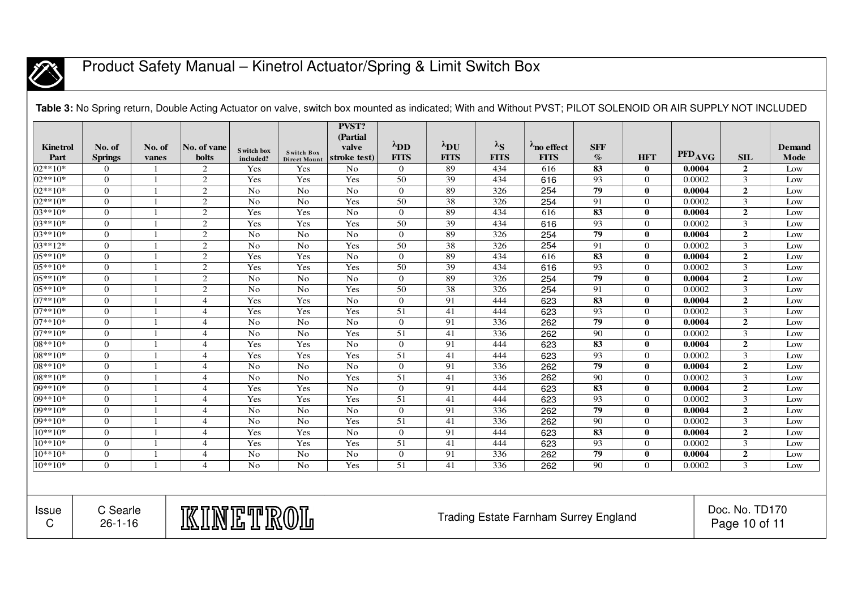

| <b>Kinetrol</b><br>Part | No. of<br><b>Springs</b>  | No. of<br>vanes | No. of vane<br><b>bolts</b> | S witch box<br>included? | <b>Switch Box</b><br><b>Direct Mount</b> | PVST?<br>(Partial<br>valve<br>stroke test) | $\lambda_{\text{DD}}$<br><b>FITS</b> | $\lambda_{\text{DU}}$<br><b>FITS</b> | $\lambda_{S}$<br><b>FITS</b> | $\lambda_{\text{no effect}}$<br><b>FITS</b>  | <b>SFF</b><br>$\%$       | <b>HFT</b>       | PFD <sub>AVG</sub> | <b>SIL</b>                      | <b>Demand</b><br>Mode |
|-------------------------|---------------------------|-----------------|-----------------------------|--------------------------|------------------------------------------|--------------------------------------------|--------------------------------------|--------------------------------------|------------------------------|----------------------------------------------|--------------------------|------------------|--------------------|---------------------------------|-----------------------|
| $02**10*$               | $\overline{0}$            |                 | 2                           | Yes                      | Yes                                      | No                                         | $\overline{0}$                       | 89                                   | 434                          | 616                                          | $\overline{\textbf{83}}$ | $\bf{0}$         | 0.0004             | $\overline{2}$                  | Low                   |
| 02**10*                 | $\overline{0}$            |                 | $\overline{2}$              | Yes                      | Yes                                      | Yes                                        | 50                                   | $\overline{39}$                      | 434                          | 616                                          | 93                       | $\overline{0}$   | 0.0002             | $\overline{3}$                  | Low                   |
| $02**10*$               | $\overline{0}$            |                 | $\overline{2}$              | N <sub>o</sub>           | $\overline{No}$                          | No                                         | $\overline{0}$                       | $\overline{89}$                      | 326                          | 254                                          | $\overline{79}$          | $\bf{0}$         | 0.0004             | $\overline{2}$                  | Low                   |
| $02**10*$               | $\overline{0}$            |                 | 2                           | No                       | No                                       | Yes                                        | $\overline{50}$                      | $\overline{38}$                      | 326                          | 254                                          | $\overline{91}$          | $\overline{0}$   | 0.0002             | $\overline{3}$                  | Low                   |
| $03**10*$               | $\overline{0}$            |                 | 2                           | Yes                      | Yes                                      | $\overline{No}$                            | $\overline{0}$                       | $\overline{89}$                      | 434                          | 616                                          | $\overline{\textbf{83}}$ | $\bf{0}$         | 0.0004             | $\boldsymbol{2}$                | Low                   |
| $03***10*$              | $\overline{0}$            |                 | $\overline{2}$              | Yes                      | Yes                                      | Yes                                        | $\overline{50}$                      | $\overline{39}$                      | 434                          | 616                                          | 93                       | $\boldsymbol{0}$ | 0.0002             | $\overline{3}$                  | Low                   |
| $03**10*$               | $\overline{0}$            |                 | $\overline{2}$              | $\rm No$                 | N <sub>o</sub>                           | No                                         | $\overline{0}$                       | 89                                   | 326                          | 254                                          | 79                       | $\bf{0}$         | 0.0004             | $\overline{2}$                  | Low                   |
| $03***12*$              | $\overline{0}$            |                 | $\overline{2}$              | $\rm No$                 | $\overline{No}$                          | Yes                                        | $\overline{50}$                      | $\overline{38}$                      | 326                          | 254                                          | $\overline{91}$          | $\overline{0}$   | 0.0002             | $\overline{\mathbf{3}}$         | Low                   |
| $05***10*$              | $\overline{0}$            |                 | $\overline{2}$              | Yes                      | Yes                                      | No                                         | $\boldsymbol{0}$                     | 89                                   | 434                          | 616                                          | $\overline{83}$          | $\bf{0}$         | 0.0004             | $\overline{2}$                  | Low                   |
| 05**10*                 | $\overline{0}$            |                 | $\overline{2}$              | Yes                      | Yes                                      | Yes                                        | $\overline{50}$                      | $\overline{39}$                      | 434                          | 616                                          | $\overline{93}$          | $\boldsymbol{0}$ | 0.0002             | $\overline{3}$                  | Low                   |
| $05***10*$              | $\overline{0}$            |                 | $\overline{2}$              | $\rm No$                 | $\overline{No}$                          | $\overline{No}$                            | $\overline{0}$                       | $\overline{89}$                      | 326                          | 254                                          | 79                       | $\bf{0}$         | 0.0004             | $\overline{2}$                  | Low                   |
| 05**10*                 | $\overline{0}$            |                 | $\sqrt{2}$                  | No                       | $\overline{No}$                          | Yes                                        | 50                                   | $\overline{38}$                      | 326                          | 254                                          | 91                       | $\boldsymbol{0}$ | 0.0002             | $\overline{3}$                  | Low                   |
| 07**10*                 | $\overline{0}$            |                 | $\overline{4}$              | Yes                      | Yes                                      | No                                         | $\mathbf{0}$                         | 91                                   | 444                          | 623                                          | 83                       | $\bf{0}$         | 0.0004             | $\overline{2}$                  | Low                   |
| $07**10*$               | $\overline{0}$            |                 | $\overline{4}$              | Yes                      | Yes                                      | Yes                                        | $\overline{51}$                      | $\overline{41}$                      | 444                          | 623                                          | $\overline{93}$          | $\overline{0}$   | 0.0002             | $\overline{3}$                  | Low                   |
| 07**10*                 | $\overline{0}$            |                 | $\overline{4}$              | No                       | No                                       | No                                         | $\mathbf{0}$                         | 91                                   | 336                          | 262                                          | $\overline{79}$          | $\bf{0}$         | 0.0004             | $\overline{2}$                  | Low                   |
| $07**10*$               | $\mathbf{0}$              |                 | $\overline{4}$              | No                       | $\rm No$                                 | Yes                                        | 51                                   | 41                                   | 336                          | 262                                          | $\overline{90}$          | $\boldsymbol{0}$ | 0.0002             | $\overline{\mathbf{3}}$         | Low                   |
| $08**10*$               | $\overline{0}$            |                 | $\overline{4}$              | Yes                      | Yes                                      | $\overline{No}$                            | $\boldsymbol{0}$                     | 91                                   | 444                          | 623                                          | 83                       | $\bf{0}$         | 0.0004             | $\boldsymbol{2}$                | Low                   |
| 08**10*                 | $\overline{0}$            |                 | $\overline{4}$              | Yes                      | Yes                                      | Yes                                        | $\overline{51}$                      | 41                                   | 444                          | 623                                          | $\overline{93}$          | $\boldsymbol{0}$ | 0.0002             | $\overline{\mathbf{3}}$         | Low                   |
| 08**10*                 | $\overline{0}$            |                 | $\overline{4}$              | $\rm No$                 | $\overline{No}$                          | No                                         | $\boldsymbol{0}$                     | 91                                   | 336                          | 262                                          | 79                       | $\bf{0}$         | 0.0004             | $\boldsymbol{2}$                | Low                   |
| $08***10*$              | $\overline{0}$            |                 | $\overline{4}$              | No                       | $\overline{No}$                          | Yes                                        | $\overline{51}$                      | 41                                   | 336                          | 262                                          | $\overline{90}$          | $\overline{0}$   | 0.0002             | $\mathfrak{Z}$                  | Low                   |
| 09**10*                 | $\overline{0}$            |                 | $\overline{4}$              | Yes                      | Yes                                      | No                                         | $\overline{0}$                       | 91                                   | 444                          | 623                                          | $\overline{\textbf{83}}$ | $\bf{0}$         | 0.0004             | $\overline{2}$                  | Low                   |
| $09***10*$              | $\overline{0}$            |                 | $\overline{4}$              | Yes                      | Yes                                      | Yes                                        | $\overline{51}$                      | $\overline{41}$                      | 444                          | 623                                          | $\overline{93}$          | $\boldsymbol{0}$ | 0.0002             | $\overline{3}$                  | Low                   |
| 09**10*                 | $\mathbf{0}$              |                 | $\overline{4}$              | N <sub>o</sub>           | $\overline{No}$                          | No                                         | $\overline{0}$                       | 91                                   | 336                          | 262                                          | $\overline{79}$          | 0                | 0.0004             | $\boldsymbol{2}$                | Low                   |
| 09**10*                 | $\overline{0}$            |                 | $\overline{4}$              | N <sub>o</sub>           | $\rm No$                                 | Yes                                        | $\overline{51}$                      | 41                                   | 336                          | 262                                          | $\overline{90}$          | $\overline{0}$   | 0.0002             | $\overline{\mathbf{3}}$         | Low                   |
| $10^{**}10^*$           | $\overline{0}$            |                 | $\overline{4}$              | Yes                      | Yes                                      | No                                         | $\boldsymbol{0}$                     | 91                                   | 444                          | 623                                          | $\overline{83}$          | 0                | 0.0004             | $\overline{2}$                  | Low                   |
| $10**10*$               | $\overline{0}$            |                 | $\overline{4}$              | Yes                      | Yes                                      | Yes                                        | 51                                   | $\overline{41}$                      | 444                          | 623                                          | 93                       | $\overline{0}$   | 0.0002             | $\overline{3}$                  | Low                   |
| $10**10*$               | $\mathbf{0}$              |                 | $\overline{4}$              | No                       | $\rm No$                                 | $\rm No$                                   | $\boldsymbol{0}$                     | 91                                   | 336                          | 262                                          | $\overline{79}$          | $\bf{0}$         | 0.0004             | $\mathbf 2$                     | Low                   |
| $10**10*$               | $\overline{0}$            |                 | $\overline{4}$              | No                       | No                                       | Yes                                        | $\overline{51}$                      | $\overline{41}$                      | 336                          | 262                                          | 90                       | $\overline{0}$   | 0.0002             | $\overline{3}$                  | Low                   |
| <b>Issue</b><br>C       | C Searle<br>$26 - 1 - 16$ |                 | KINETROL                    |                          |                                          |                                            |                                      |                                      |                              | <b>Trading Estate Farnham Surrey England</b> |                          |                  |                    | Doc. No. TD170<br>Page 10 of 11 |                       |